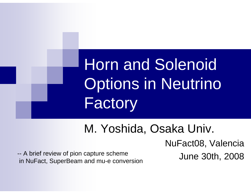# Horn and Solenoid Options in Neutrino Factory

#### M. Yoshida, Osaka Univ.

NuFact08, Valencia

-- A brief review of pion capture scheme<br>in NuFact, SuperBeam and mu-e conversion<br>in NuFact, SuperBeam and mu-e conversion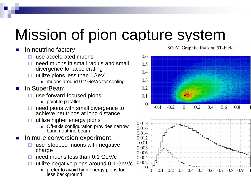### Mission of pion capture system

#### k. In neutrino factory

- $\Box$ use accelerated muons
- $\Box$  need muons in small radius and small divergence for accelerating
- $\Box$  utilize pions less than 1GeV
	- muons around 0.2 GeV/c for cooling
- k. In SuperBeam
	- $\Box$  use forward-focused pions
		- **point to parallel**
	- $\Box$  need pions with small divergence to achieve neutrinos at long distance
	- $\Box$  utilize higher energy pions
		- **Detamation configuration provides narrow** band neutrino beam
- $\mathbb{R}^3$  In mu-e conversion experiment
	- $\Box$  use stopped muons with negative charge
	- $\Box$ need muons less than 0.1 GeV/c
	- $\Box$  utilize negative pions around 0.1 GeV/c
		- **prefer to avoid high energy pions for** less background

8GeV, Graphite R=1cm, 5T-Field



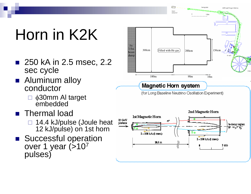## Horn in K2K

- 250 kA in 2.5 msec, 2.2 sec cycle
- Aluminum alloy conductor
	- φ30mm Al target embedded
- **n** Thermal load
	- □ 14.4 kJ/pulse (Joule heat 12 kJ/pulse) on 1st horn
- Successful operation over 1 year (>10<sup>7</sup> pulses)

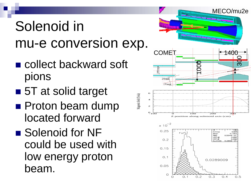#### Solenoid in mu-e conversion exp.

- collect backward soft pions
- 5T at solid target
- **Proton beam dump** located forward
- Solenoid for NF could be used with low energy proton beam.

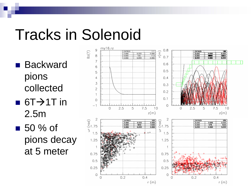#### Tracks in Solenoid

■ Backward pions collected

 $\blacksquare$  6T $\rightarrow$ 1T in 2.5m

 $\blacksquare$  50 % of pions decay at 5 meter

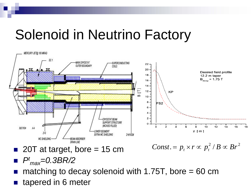#### Solenoid in Neutrino Factory



■ 20T at target, bore = 15 cm

 $Const.=p_{_t}\times r \propto p_{_t}^{2}/B \propto Br^{2}$ 

- $P<sup>t</sup>$ <sub>max</sub>=0.3BR/2
- matching to decay solenoid with 1.75T, bore  $= 60$  cm
- tapered in 6 meter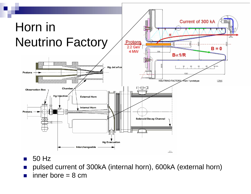

- 50 Hz
- $\mathcal{L}_{\mathcal{A}}$ pulsed current of 300kA (internal horn), 600kA (external horn)
- a, inner bore  $= 8$  cm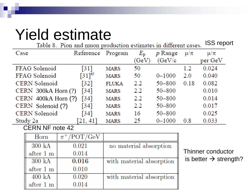#### Yield estimate

ISS report Table 8. Pion and muon production estimates in different cases.

| Case                    | Reference          | Program      | $E_{p}$       | $p$ Range  | $\mu/\pi$ | $\mu/\pi$ |
|-------------------------|--------------------|--------------|---------------|------------|-----------|-----------|
|                         |                    |              | (GeV)         | (GeV/c     |           | per GeV   |
| FFAG Solenoid           | [31]               | <b>MARS</b>  | 50            |            | 1.2       | 0.024     |
| FFAG Solenoid           | $[31]^{a}$         | <b>MARS</b>  | 50            | $0 - 1000$ | 2.0       | 0.040     |
| CERN Solenoid           | $\lceil 32 \rceil$ | <b>FLUKA</b> | $2.2^{\circ}$ | $50 - 800$ | 0.18      | 0.082     |
| CERN 300kA Horn (?)     | $\lceil 34 \rceil$ | <b>MARS</b>  | $2.2^{\circ}$ | 50-800     |           | 0.010     |
| CERN $400kA$ Horn $(?)$ | $\left[34\right]$  | <b>MARS</b>  | $2.2^{\circ}$ | $50 - 800$ |           | 0.014     |
| CERN Solenoid (?)       | $\lceil 34 \rceil$ | <b>MARS</b>  | $2.2^{\circ}$ | $50 - 800$ |           | 0.017     |
| <b>CERN</b> Solenoid    | [34]               | <b>MARS</b>  | 16            | $50 - 800$ |           | 0.025     |
| Study 2a                | [21, 41]           | <b>MARS</b>  | -25           | $0 - 1000$ | 0.8       | 0.033     |

CERN NF note 42

| Horn               | $\pi^+$ /POT/GeV |                          |
|--------------------|------------------|--------------------------|
| $300\ \mathrm{kA}$ | 0.021            | no material absorption   |
| after 1 m          | 0.014            |                          |
| $300\ \mathrm{kA}$ | 0.016            | with material absorption |
| after 1 m          | 0.010            |                          |
| $400 \text{ kA}$   | 0.020            | with material absorption |
| after 1 m          | 0.014            |                          |

Thinner conductor is better  $\boldsymbol{\rightarrow}$  strength?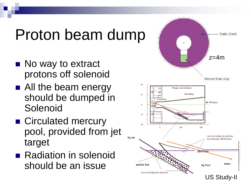#### Proton beam dump

- No way to extract protons off solenoid
- **All the beam energy** should be dumped in Solenoid
- Circulated mercury pool, provided from jet target
- Radiation in solenoid should be an issue

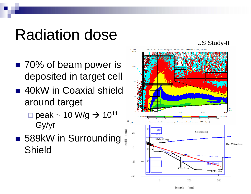### Radiation dose

- 70% of beam power is deposited in target cell
- 40kW in Coaxial shield around target
	- $\square$  peak ~ 10 W/g  $\rightarrow$  10<sup>11</sup> Gy/yr
- 589kW in Surrounding Shield

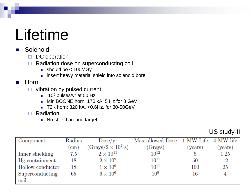#### Lifetime

#### k. Solenoid

- $\Box$ DC operation
- $\Box$  Radiation dose on superconducting coil
	- should be < 100MGy
	- **n** insert heavy material shield into solenoid bore

#### $\mathbb{R}^3$ Horn

- $\Box$  vibration by pulsed current
	- $\blacksquare$  10º pulses/yr at 50 Hz
	- MiniBOONE horn: 170 kA, 5 Hz for 8 GeV
	- T2K horn: 320 kA, <0.6Hz, for 30-50GeV
- □ Radiation
	- No shield around target

#### US study-II

| Component        | Radius        | Dose/yr                   | Max allowed Dose 1 MW Life 4 MW life |        |        |
|------------------|---------------|---------------------------|--------------------------------------|--------|--------|
|                  | $\mathbf{cm}$ | $(Grays/2 \times 10^7 s)$ | (Grays)                              | years) | years) |
| Inner shielding  | 7.5           | $2 \times 10^{11}$        | $10^{12}$                            |        | 1.25   |
| Hg containment   | 18            | $2\times10^9$             | $10^{11}$                            | 50     | 12     |
| Hollow conductor | 18            | $1 \times 10^9$           | $10^{11}$                            | 100    | 25     |
| Superconducting  | 65            | $6 \times 10^6$           | $10^{8}$                             | 16     |        |
| coil             |               |                           |                                      |        |        |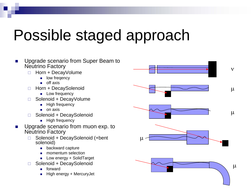### Possible staged approach

- $\mathcal{L}_{\mathcal{A}}$  Upgrade scenario from Super Beam to Neutrino Factory
	- $\Box$  Horn + DecayVolume
		- **Deta** low freqency
		- $\blacksquare$  off axis
	- $\Box$  Horn + DecaySolenoid
		- **Low frequency**
	- □ Solenoid + DecayVolume
		- Г High frequency
		- $\blacksquare$  on axis
	- □ Solenoid + DecaySolenoid
		- $\blacksquare$  High frequency
- $\mathcal{L}_{\mathcal{A}}$  Upgrade scenario from muon exp. to Neutrino Factory
	- $\Box$  Solenoid + DecaySolenoid (+bent solenoid)
		- Г backward capture
		- Г momentum selection
		- Low energy + SolidTarget
	- $\Box$  Solenoid + DecaySolenoid
		- Г forward
		- г High energy + MercuryJet

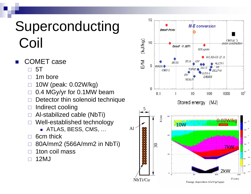#### Superconducting Coil

- COMET case
	- $\Box$ 5T
	- п 1m bore
	- $\Box$ 10W (peak: 0.02W/kg)
	- $\Box$ 0.4 MGy/yr for 0.1MW beam
	- $\Box$ Detector thin solenoid technique
	- $\Box$ Indirect cooling
	- $\Box$ Al-stabilized cable (NbTi)
	- $\Box$  Well-established technology
		- ATLAS, BESS, CMS, …
	- $\Box$ 6cm thick
	- $\Box$ 80A/mm2 (566A/mm2 in NbTi)
	- $\Box$ 1ton coil mass
	- $\Box$ 12MJ

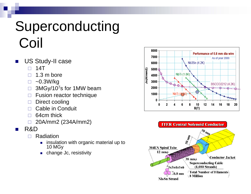#### Superconducting Coil

- US Study-II case
	- $\Box$ 14T
	- $\Box$ 1.3 m bore
	- П.  $\sim$ 0.3W/kg
	- $\Box$  $\Box$  3MGy/10<sup>7</sup>s for 1MW beam
	- П. Fusion reactor technique
	- П. Direct cooling
	- $\Box$ Cable in Conduit
	- $\Box$ 64cm thick
	- $\Box$ 20A/mm2 (234A/mm2)
- $\mathcal{L}^{\text{max}}$  R&D
	- П Radiation
		- **now insulation with organic material up to** 10 MGy
		- change Jc, resistivity